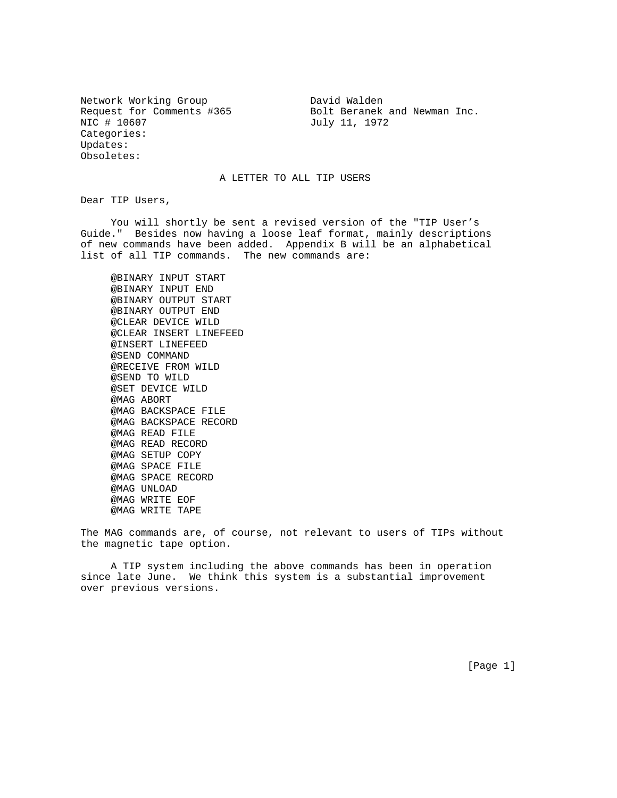Network Working Group **David Walden** NIC # 10607 July 11, 1972 Categories: Updates: Obsoletes:

Request for Comments #365 Bolt Beranek and Newman Inc.

## A LETTER TO ALL TIP USERS

Dear TIP Users,

 You will shortly be sent a revised version of the "TIP User's Guide." Besides now having a loose leaf format, mainly descriptions of new commands have been added. Appendix B will be an alphabetical list of all TIP commands. The new commands are:

 @BINARY INPUT START @BINARY INPUT END @BINARY OUTPUT START @BINARY OUTPUT END @CLEAR DEVICE WILD @CLEAR INSERT LINEFEED @INSERT LINEFEED @SEND COMMAND @RECEIVE FROM WILD @SEND TO WILD @SET DEVICE WILD @MAG ABORT @MAG BACKSPACE FILE @MAG BACKSPACE RECORD @MAG READ FILE @MAG READ RECORD @MAG SETUP COPY @MAG SPACE FILE @MAG SPACE RECORD @MAG UNLOAD @MAG WRITE EOF @MAG WRITE TAPE

The MAG commands are, of course, not relevant to users of TIPs without the magnetic tape option.

 A TIP system including the above commands has been in operation since late June. We think this system is a substantial improvement over previous versions.

[Page 1]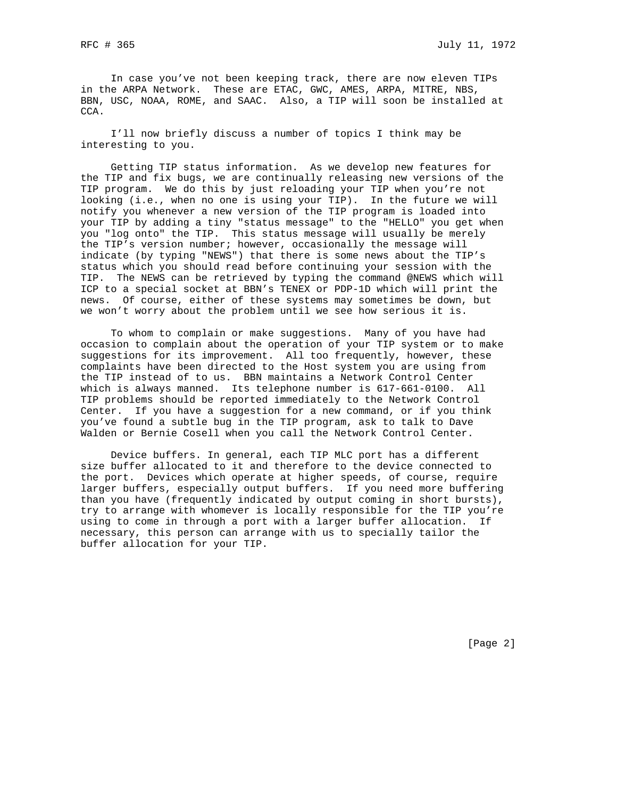In case you've not been keeping track, there are now eleven TIPs in the ARPA Network. These are ETAC, GWC, AMES, ARPA, MITRE, NBS, BBN, USC, NOAA, ROME, and SAAC. Also, a TIP will soon be installed at CCA.

 I'll now briefly discuss a number of topics I think may be interesting to you.

 Getting TIP status information. As we develop new features for the TIP and fix bugs, we are continually releasing new versions of the TIP program. We do this by just reloading your TIP when you're not looking (i.e., when no one is using your TIP). In the future we will notify you whenever a new version of the TIP program is loaded into your TIP by adding a tiny "status message" to the "HELLO" you get when you "log onto" the TIP. This status message will usually be merely the TIP's version number; however, occasionally the message will indicate (by typing "NEWS") that there is some news about the TIP's status which you should read before continuing your session with the TIP. The NEWS can be retrieved by typing the command @NEWS which will ICP to a special socket at BBN's TENEX or PDP-1D which will print the news. Of course, either of these systems may sometimes be down, but we won't worry about the problem until we see how serious it is.

 To whom to complain or make suggestions. Many of you have had occasion to complain about the operation of your TIP system or to make suggestions for its improvement. All too frequently, however, these complaints have been directed to the Host system you are using from the TIP instead of to us. BBN maintains a Network Control Center which is always manned. Its telephone number is 617-661-0100. All TIP problems should be reported immediately to the Network Control Center. If you have a suggestion for a new command, or if you think you've found a subtle bug in the TIP program, ask to talk to Dave Walden or Bernie Cosell when you call the Network Control Center.

 Device buffers. In general, each TIP MLC port has a different size buffer allocated to it and therefore to the device connected to the port. Devices which operate at higher speeds, of course, require larger buffers, especially output buffers. If you need more buffering than you have (frequently indicated by output coming in short bursts), try to arrange with whomever is locally responsible for the TIP you're using to come in through a port with a larger buffer allocation. If necessary, this person can arrange with us to specially tailor the buffer allocation for your TIP.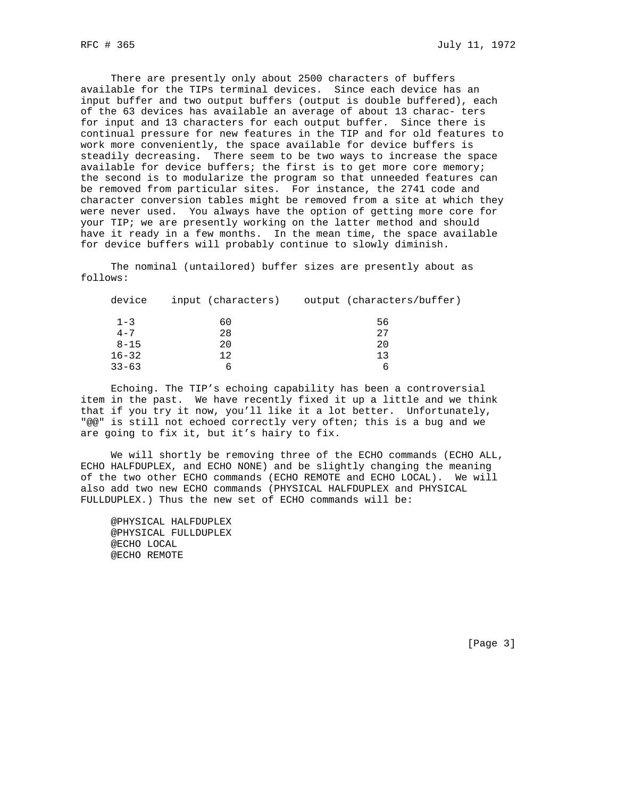There are presently only about 2500 characters of buffers available for the TIPs terminal devices. Since each device has an input buffer and two output buffers (output is double buffered), each of the 63 devices has available an average of about 13 charac- ters for input and 13 characters for each output buffer. Since there is continual pressure for new features in the TIP and for old features to work more conveniently, the space available for device buffers is steadily decreasing. There seem to be two ways to increase the space available for device buffers; the first is to get more core memory; the second is to modularize the program so that unneeded features can be removed from particular sites. For instance, the 2741 code and character conversion tables might be removed from a site at which they were never used. You always have the option of getting more core for your TIP; we are presently working on the latter method and should have it ready in a few months. In the mean time, the space available for device buffers will probably continue to slowly diminish.

 The nominal (untailored) buffer sizes are presently about as follows:

| device    | input (characters) | output (characters/buffer) |
|-----------|--------------------|----------------------------|
| $1 - 3$   | 60                 | 56                         |
| $4 - 7$   | 28                 | 27                         |
| $8 - 15$  | 20                 | 20                         |
| $16 - 32$ | 12                 | ่ 1 ว                      |
| $33 - 63$ |                    | n                          |

 Echoing. The TIP's echoing capability has been a controversial item in the past. We have recently fixed it up a little and we think that if you try it now, you'll like it a lot better. Unfortunately, "@@" is still not echoed correctly very often; this is a bug and we are going to fix it, but it's hairy to fix.

 We will shortly be removing three of the ECHO commands (ECHO ALL, ECHO HALFDUPLEX, and ECHO NONE) and be slightly changing the meaning of the two other ECHO commands (ECHO REMOTE and ECHO LOCAL). We will also add two new ECHO commands (PHYSICAL HALFDUPLEX and PHYSICAL FULLDUPLEX.) Thus the new set of ECHO commands will be:

 @PHYSICAL HALFDUPLEX @PHYSICAL FULLDUPLEX @ECHO LOCAL @ECHO REMOTE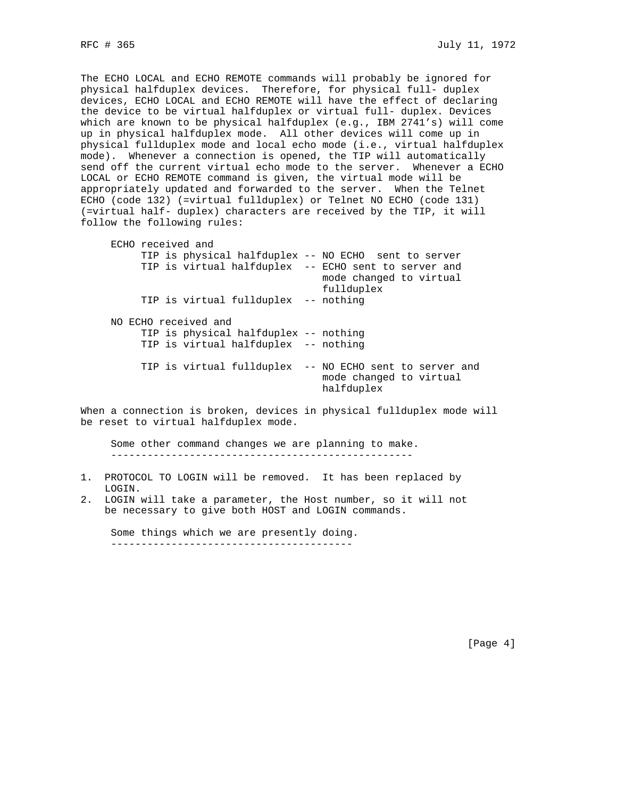The ECHO LOCAL and ECHO REMOTE commands will probably be ignored for physical halfduplex devices. Therefore, for physical full- duplex devices, ECHO LOCAL and ECHO REMOTE will have the effect of declaring the device to be virtual halfduplex or virtual full- duplex. Devices which are known to be physical halfduplex (e.g., IBM 2741's) will come up in physical halfduplex mode. All other devices will come up in physical fullduplex mode and local echo mode (i.e., virtual halfduplex mode). Whenever a connection is opened, the TIP will automatically send off the current virtual echo mode to the server. Whenever a ECHO LOCAL or ECHO REMOTE command is given, the virtual mode will be appropriately updated and forwarded to the server. When the Telnet ECHO (code 132) (=virtual fullduplex) or Telnet NO ECHO (code 131) (=virtual half- duplex) characters are received by the TIP, it will follow the following rules:

| TIP is physical halfduplex -- NO ECHO sent to server                                                |  |  |  |
|-----------------------------------------------------------------------------------------------------|--|--|--|
| TIP is virtual halfduplex -- ECHO sent to server and<br>mode changed to virtual<br>fullduplex       |  |  |  |
| TIP is virtual fullduplex -- nothing                                                                |  |  |  |
| NO ECHO received and                                                                                |  |  |  |
| TIP is physical halfduplex -- nothing                                                               |  |  |  |
| TIP is virtual halfduplex -- nothing                                                                |  |  |  |
| TIP is virtual fullduplex<br>-- NO ECHO sent to server and<br>mode changed to virtual<br>halfduplex |  |  |  |
|                                                                                                     |  |  |  |

When a connection is broken, devices in physical fullduplex mode will be reset to virtual halfduplex mode.

 Some other command changes we are planning to make. --------------------------------------------------

- 1. PROTOCOL TO LOGIN will be removed. It has been replaced by LOGIN.
- 2. LOGIN will take a parameter, the Host number, so it will not be necessary to give both HOST and LOGIN commands.

 Some things which we are presently doing. ----------------------------------------